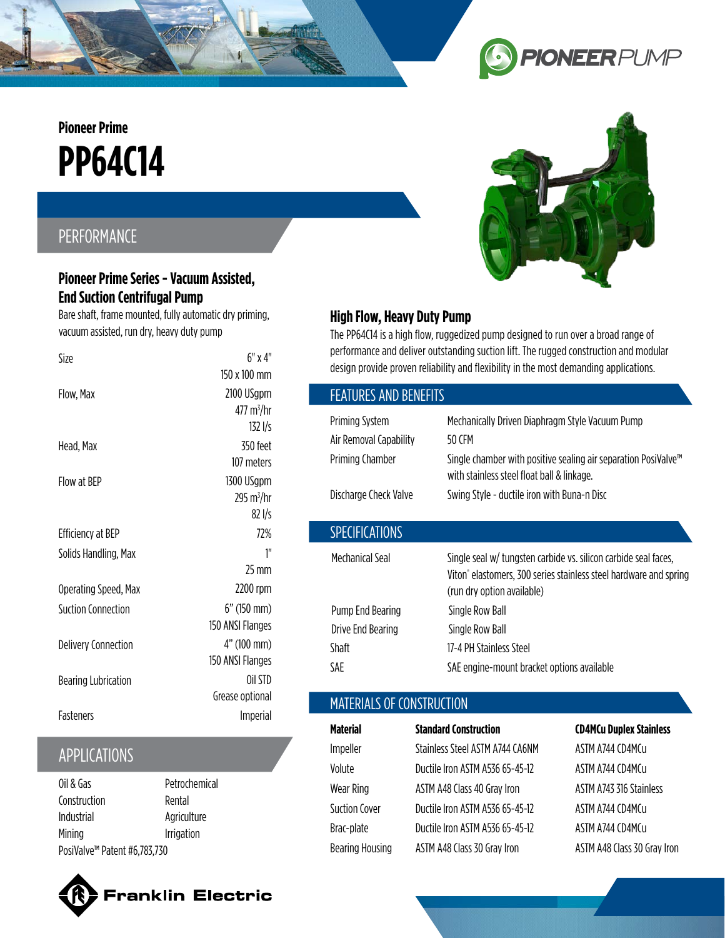# **PP64C14 Pioneer Prime**

## PERFORMANCE

#### **Pioneer Prime Series - Vacuum Assisted, End Suction Centrifugal Pump**

Bare shaft, frame mounted, fully automatic dry priming, vacuum assisted, run dry, heavy duty pump

| Size                       | $6"$ x 4"              |
|----------------------------|------------------------|
|                            | 150 x 100 mm           |
| Flow, Max                  | 2100 USgpm             |
|                            | 477 m <sup>3</sup> /hr |
|                            | 1321/s                 |
| Head, Max                  | 350 feet               |
|                            | 107 meters             |
| Flow at BFP                | 1300 USgpm             |
|                            | 295 m <sup>3</sup> /hr |
|                            | 821/s                  |
| <b>Efficiency at BEP</b>   | 72%                    |
| Solids Handling, Max       | 1''                    |
|                            | 25 mm                  |
| Operating Speed, Max       | 2200 rpm               |
| Suction Connection         | 6" (150 mm)            |
|                            | 150 ANSI Flanges       |
| <b>Delivery Connection</b> | 4" (100 mm)            |
|                            | 150 ANSI Flanges       |
| <b>Bearing Lubrication</b> | Oil STD                |
|                            | Grease optional        |
| <b>Fasteners</b>           | Imperial               |
|                            |                        |

## APPLICATIONS

| Oil & Gas                                | Petrochemical |  |
|------------------------------------------|---------------|--|
| Construction                             | Rental        |  |
| Industrial                               | Agriculture   |  |
| Mining                                   | Irrigation    |  |
| PosiValve <sup>™</sup> Patent #6,783,730 |               |  |





**PIONEER** PUMP

## **High Flow, Heavy Duty Pump**

The PP64C14 is a high flow, ruggedized pump designed to run over a broad range of performance and deliver outstanding suction lift. The rugged construction and modular design provide proven reliability and flexibility in the most demanding applications.

 $\bullet$ 

| <b>FEATURES AND BENEFITS</b> |                                                                                                                                                                                |  |
|------------------------------|--------------------------------------------------------------------------------------------------------------------------------------------------------------------------------|--|
| <b>Priming System</b>        | Mechanically Driven Diaphragm Style Vacuum Pump                                                                                                                                |  |
| Air Removal Capability       | 50 CFM                                                                                                                                                                         |  |
| Priming Chamber              | Single chamber with positive sealing air separation PosiValve <sup>™</sup><br>with stainless steel float ball & linkage.                                                       |  |
| Discharge Check Valve        | Swing Style - ductile iron with Buna-n Disc                                                                                                                                    |  |
| <b>SPECIFICATIONS</b>        |                                                                                                                                                                                |  |
| Mechanical Seal              | Single seal w/ tungsten carbide vs. silicon carbide seal faces,<br>Viton <sup>®</sup> elastomers, 300 series stainless steel hardware and spring<br>(run dry option available) |  |
| Pump End Bearing             | Single Row Ball                                                                                                                                                                |  |
| Drive End Bearing            | Single Row Ball                                                                                                                                                                |  |
| Shaft                        | 17-4 PH Stainless Steel                                                                                                                                                        |  |
| SAF                          | SAE engine-mount bracket options available                                                                                                                                     |  |
|                              |                                                                                                                                                                                |  |

## MATERIALS OF CONSTRUCTION

| Material               | <b>Standard Construction</b>    | <b>CD4MCu Duplex Stainless</b> |
|------------------------|---------------------------------|--------------------------------|
| Impeller               | Stainless Steel ASTM A744 CA6NM | ASTM A744 CD4MCu               |
| Volute                 | Ductile Iron ASTM A536 65-45-12 | ASTM A744 CD4MCu               |
| <b>Wear Ring</b>       | ASTM A48 Class 40 Gray Iron     | ASTM A743 316 Stainless        |
| Suction Cover          | Ductile Iron ASTM A536 65-45-12 | ASTM A744 (D4M(u               |
| Brac-plate             | Ductile Iron ASTM A536 65-45-12 | ASTM A744 CD4MCu               |
| <b>Bearing Housing</b> | ASTM A48 Class 30 Gray Iron     | ASTM A48 Class 30 Gray Iron    |